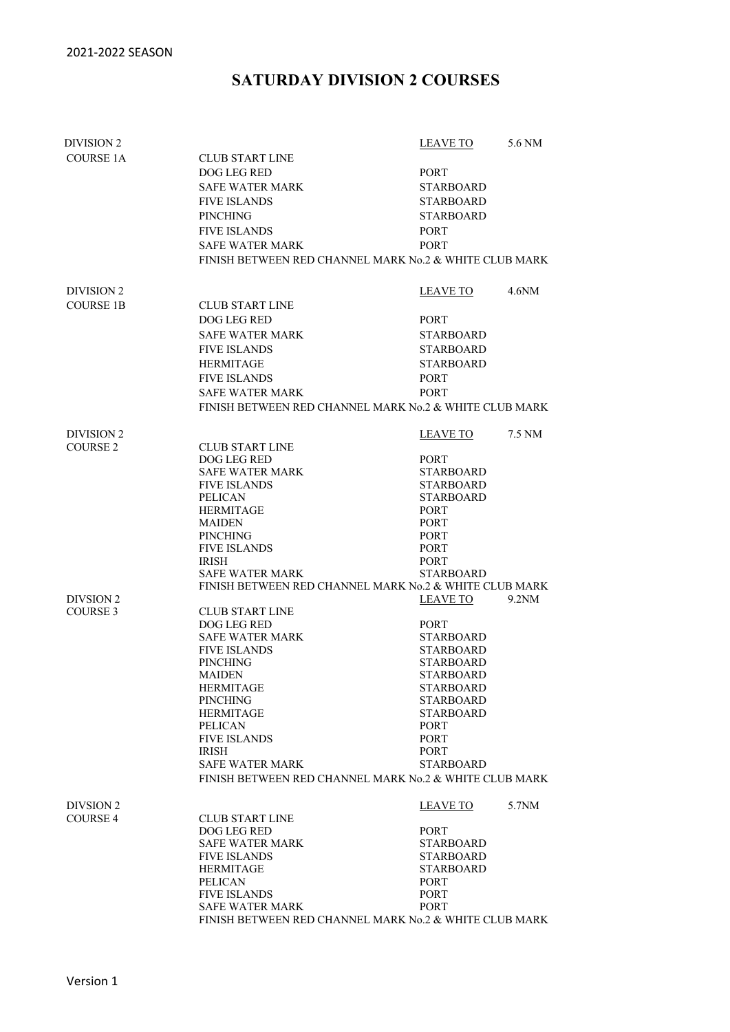## **SATURDAY DIVISION 2 COURSES**

| DIVISION 2          |                                                        | <b>LEAVE TO</b>                 | 5.6 NM |  |
|---------------------|--------------------------------------------------------|---------------------------------|--------|--|
| <b>COURSE 1A</b>    | <b>CLUB START LINE</b>                                 |                                 |        |  |
|                     | DOG LEG RED                                            | PORT                            |        |  |
|                     | <b>SAFE WATER MARK</b>                                 | <b>STARBOARD</b>                |        |  |
|                     | <b>FIVE ISLANDS</b>                                    | <b>STARBOARD</b>                |        |  |
|                     | <b>PINCHING</b>                                        | <b>STARBOARD</b>                |        |  |
|                     |                                                        |                                 |        |  |
|                     | <b>FIVE ISLANDS</b>                                    | <b>PORT</b>                     |        |  |
|                     | <b>SAFE WATER MARK</b>                                 | <b>PORT</b>                     |        |  |
|                     | FINISH BETWEEN RED CHANNEL MARK No.2 & WHITE CLUB MARK |                                 |        |  |
| DIVISION 2          |                                                        | LEAVE TO                        | 4.6NM  |  |
| <b>COURSE 1B</b>    | <b>CLUB START LINE</b>                                 |                                 |        |  |
|                     | DOG LEG RED                                            | <b>PORT</b>                     |        |  |
|                     | <b>SAFE WATER MARK</b>                                 | <b>STARBOARD</b>                |        |  |
|                     | <b>FIVE ISLANDS</b>                                    |                                 |        |  |
|                     |                                                        | <b>STARBOARD</b>                |        |  |
|                     | <b>HERMITAGE</b>                                       | <b>STARBOARD</b>                |        |  |
|                     | <b>FIVE ISLANDS</b>                                    | <b>PORT</b>                     |        |  |
|                     | <b>SAFE WATER MARK</b>                                 | <b>PORT</b>                     |        |  |
|                     | FINISH BETWEEN RED CHANNEL MARK No.2 & WHITE CLUB MARK |                                 |        |  |
| <b>DIVISION 2</b>   |                                                        | LEAVE TO                        | 7.5 NM |  |
| COURSE <sub>2</sub> | <b>CLUB START LINE</b>                                 |                                 |        |  |
|                     | DOG LEG RED                                            | PORT                            |        |  |
|                     | SAFE WATER MARK                                        | <b>STARBOARD</b>                |        |  |
|                     | <b>FIVE ISLANDS</b>                                    | <b>STARBOARD</b>                |        |  |
|                     | <b>PELICAN</b>                                         | <b>STARBOARD</b>                |        |  |
|                     | <b>HERMITAGE</b>                                       | <b>PORT</b>                     |        |  |
|                     | <b>MAIDEN</b>                                          | <b>PORT</b>                     |        |  |
|                     | <b>PINCHING</b>                                        | <b>PORT</b>                     |        |  |
|                     | <b>FIVE ISLANDS</b>                                    | <b>PORT</b>                     |        |  |
|                     | <b>IRISH</b><br><b>SAFE WATER MARK</b>                 | <b>PORT</b><br><b>STARBOARD</b> |        |  |
|                     | FINISH BETWEEN RED CHANNEL MARK No.2 & WHITE CLUB MARK |                                 |        |  |
| DIVSION 2           |                                                        | LEAVE TO                        | 9.2NM  |  |
| COURSE 3            | <b>CLUB START LINE</b>                                 |                                 |        |  |
|                     | DOG LEG RED                                            | PORT                            |        |  |
|                     | <b>SAFE WATER MARK</b>                                 | <b>STARBOARD</b>                |        |  |
|                     | <b>FIVE ISLANDS</b>                                    | <b>STARBOARD</b>                |        |  |
|                     | <b>PINCHING</b>                                        | <b>STARBOARD</b>                |        |  |
|                     | <b>MAIDEN</b>                                          | <b>STARBOARD</b>                |        |  |
|                     | <b>HERMITAGE</b>                                       | <b>STARBOARD</b>                |        |  |
|                     | <b>PINCHING</b>                                        | <b>STARBOARD</b>                |        |  |
|                     | <b>HERMITAGE</b>                                       | <b>STARBOARD</b>                |        |  |
|                     | <b>PELICAN</b>                                         | PORT                            |        |  |
|                     | <b>FIVE ISLANDS</b>                                    | <b>PORT</b>                     |        |  |
|                     | <b>IRISH</b>                                           | PORT                            |        |  |
|                     | <b>SAFE WATER MARK</b>                                 | <b>STARBOARD</b>                |        |  |
|                     | FINISH BETWEEN RED CHANNEL MARK No.2 & WHITE CLUB MARK |                                 |        |  |
| DIVSION 2           |                                                        | LEAVE TO                        | 5.7NM  |  |
| <b>COURSE 4</b>     | <b>CLUB START LINE</b>                                 |                                 |        |  |
|                     | DOG LEG RED                                            | PORT                            |        |  |
|                     | <b>SAFE WATER MARK</b>                                 | <b>STARBOARD</b>                |        |  |
|                     | <b>FIVE ISLANDS</b>                                    | <b>STARBOARD</b>                |        |  |
|                     | <b>HERMITAGE</b>                                       | <b>STARBOARD</b>                |        |  |
|                     | <b>PELICAN</b>                                         | PORT                            |        |  |
|                     | <b>FIVE ISLANDS</b>                                    | PORT                            |        |  |
|                     | <b>SAFE WATER MARK</b>                                 | <b>PORT</b>                     |        |  |
|                     | FINISH BETWEEN RED CHANNEL MARK No.2 & WHITE CLUB MARK |                                 |        |  |